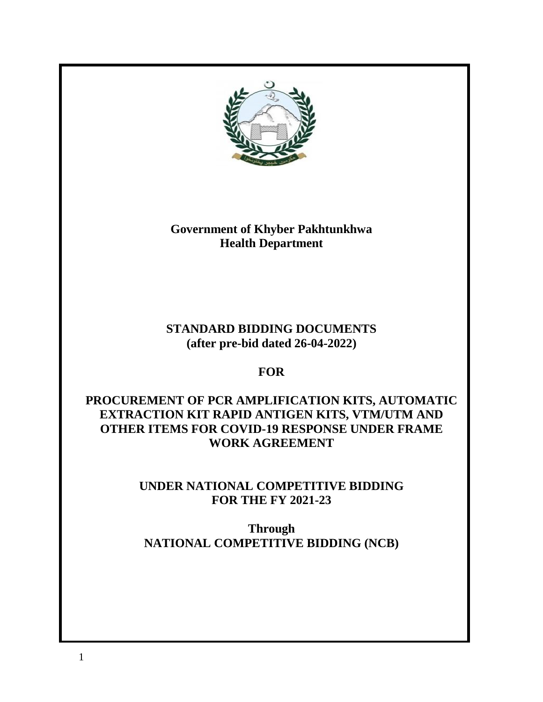

**Government of Khyber Pakhtunkhwa Health Department**

# **STANDARD BIDDING DOCUMENTS (after pre-bid dated 26-04-2022)**

# **FOR**

# **PROCUREMENT OF PCR AMPLIFICATION KITS, AUTOMATIC EXTRACTION KIT RAPID ANTIGEN KITS, VTM/UTM AND OTHER ITEMS FOR COVID-19 RESPONSE UNDER FRAME WORK AGREEMENT**

# **UNDER NATIONAL COMPETITIVE BIDDING FOR THE FY 2021-23**

**Through NATIONAL COMPETITIVE BIDDING (NCB)**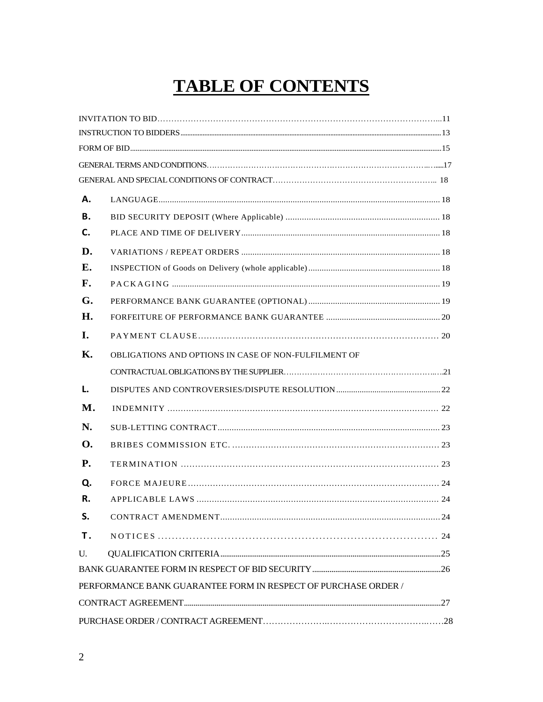# **TABLE OF CONTENTS**

| Α.        |                                                                |  |
|-----------|----------------------------------------------------------------|--|
| В.        |                                                                |  |
| C.        |                                                                |  |
| D.        |                                                                |  |
| Е.        |                                                                |  |
| F.        |                                                                |  |
| G.        |                                                                |  |
| Н.        |                                                                |  |
| <b>I.</b> |                                                                |  |
| Κ.        | OBLIGATIONS AND OPTIONS IN CASE OF NON-FULFILMENT OF           |  |
|           |                                                                |  |
| L.        |                                                                |  |
| M.        |                                                                |  |
| N.        |                                                                |  |
| Ω.        |                                                                |  |
| <b>P.</b> |                                                                |  |
| Q.        |                                                                |  |
| R.        |                                                                |  |
| S.        |                                                                |  |
| Τ.        |                                                                |  |
| U.        |                                                                |  |
|           |                                                                |  |
|           | PERFORMANCE BANK GUARANTEE FORM IN RESPECT OF PURCHASE ORDER / |  |
|           |                                                                |  |
|           |                                                                |  |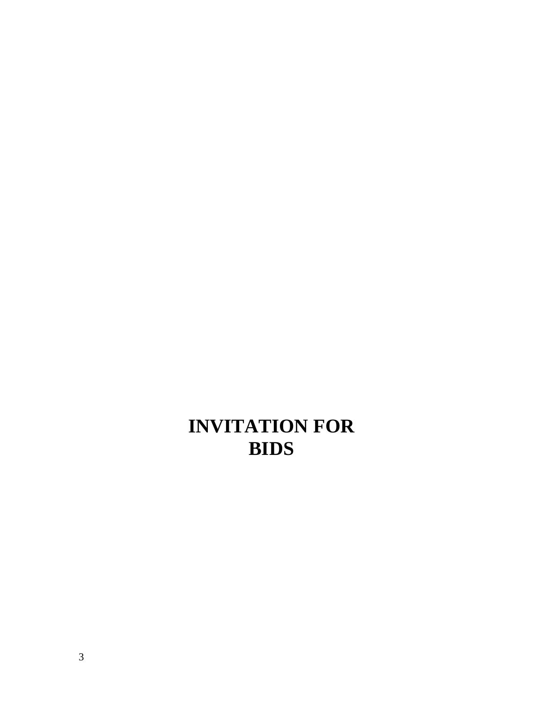# **INVITATION FOR BIDS**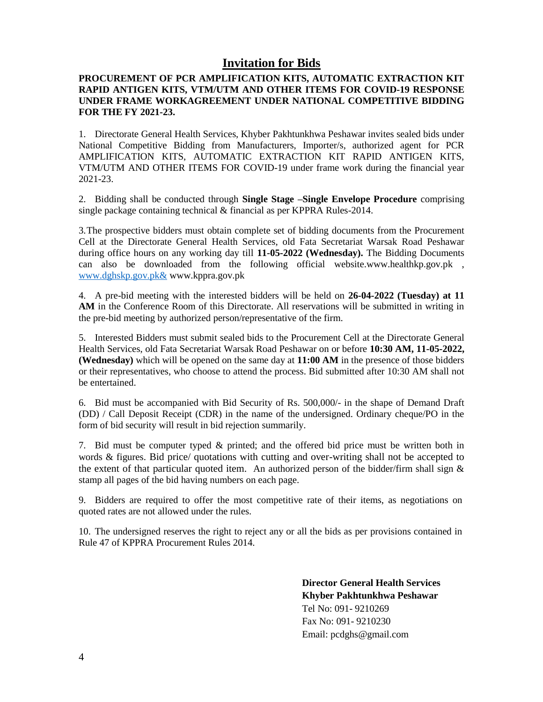# **Invitation for Bids**

#### **PROCUREMENT OF PCR AMPLIFICATION KITS, AUTOMATIC EXTRACTION KIT RAPID ANTIGEN KITS, VTM/UTM AND OTHER ITEMS FOR COVID-19 RESPONSE UNDER FRAME WORKAGREEMENT UNDER NATIONAL COMPETITIVE BIDDING FOR THE FY 2021-23.**

1. Directorate General Health Services, Khyber Pakhtunkhwa Peshawar invites sealed bids under National Competitive Bidding from Manufacturers, Importer/s, authorized agent for PCR AMPLIFICATION KITS, AUTOMATIC EXTRACTION KIT RAPID ANTIGEN KITS, VTM/UTM AND OTHER ITEMS FOR COVID-19 under frame work during the financial year 2021-23.

2. Bidding shall be conducted through **Single Stage –Single Envelope Procedure** comprising single package containing technical & financial as per KPPRA Rules-2014.

3.The prospective bidders must obtain complete set of bidding documents from the Procurement Cell at the Directorate General Health Services, old Fata Secretariat Warsak Road Peshawar during office hours on any working day till **11-05-2022 (Wednesday).** The Bidding Documents can also be downloaded from the following official [website.www.healthkp.gov.pk](http://www.healthkp.gov.pk/) , [www.dghskp.gov.pk&](http://www.dghskp.gov.pk&/) www.kppra.gov.pk

4. A pre-bid meeting with the interested bidders will be held on **26-04-2022 (Tuesday) at 11 AM** in the Conference Room of this Directorate. All reservations will be submitted in writing in the pre-bid meeting by authorized person/representative of the firm.

5. Interested Bidders must submit sealed bids to the Procurement Cell at the Directorate General Health Services, old Fata Secretariat Warsak Road Peshawar on or before **10:30 AM, 11-05-2022, (Wednesday)** which will be opened on the same day at **11:00 AM** in the presence of those bidders or their representatives, who choose to attend the process. Bid submitted after 10:30 AM shall not be entertained.

6. Bid must be accompanied with Bid Security of Rs. 500,000/- in the shape of Demand Draft (DD) / Call Deposit Receipt (CDR) in the name of the undersigned. Ordinary cheque/PO in the form of bid security will result in bid rejection summarily.

7. Bid must be computer typed & printed; and the offered bid price must be written both in words & figures. Bid price/ quotations with cutting and over-writing shall not be accepted to the extent of that particular quoted item. An authorized person of the bidder/firm shall sign & stamp all pages of the bid having numbers on each page.

9. Bidders are required to offer the most competitive rate of their items, as negotiations on quoted rates are not allowed under the rules.

10. The undersigned reserves the right to reject any or all the bids as per provisions contained in Rule 47 of KPPRA Procurement Rules 2014.

> **Director General Health Services Khyber Pakhtunkhwa Peshawar** Tel No: 091- 9210269 Fax No: 091- 9210230 Email: pcdghs@gmail.com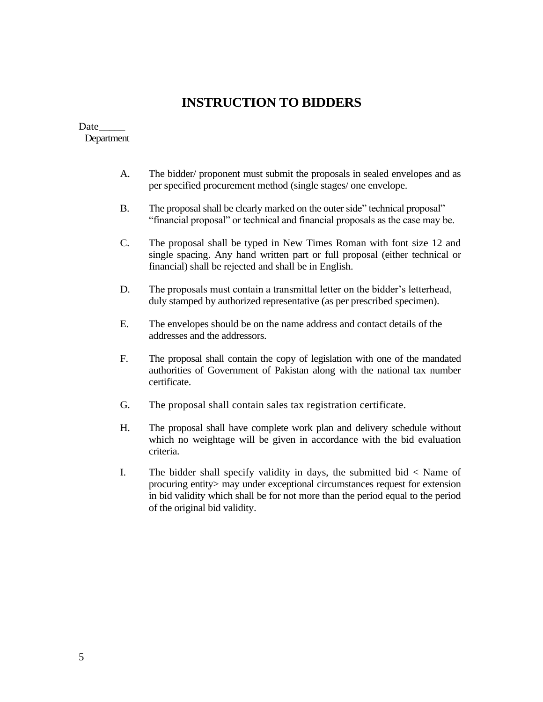# **INSTRUCTION TO BIDDERS**

#### Date Department

- A. The bidder/ proponent must submit the proposals in sealed envelopes and as per specified procurement method (single stages/ one envelope.
- B. The proposal shall be clearly marked on the outer side" technical proposal" "financial proposal" or technical and financial proposals as the case may be.
- C. The proposal shall be typed in New Times Roman with font size 12 and single spacing. Any hand written part or full proposal (either technical or financial) shall be rejected and shall be in English.
- D. The proposals must contain a transmittal letter on the bidder"s letterhead, duly stamped by authorized representative (as per prescribed specimen).
- E. The envelopes should be on the name address and contact details of the addresses and the addressors.
- F. The proposal shall contain the copy of legislation with one of the mandated authorities of Government of Pakistan along with the national tax number certificate.
- G. The proposal shall contain sales tax registration certificate.
- H. The proposal shall have complete work plan and delivery schedule without which no weightage will be given in accordance with the bid evaluation criteria.
- I. The bidder shall specify validity in days, the submitted bid < Name of procuring entity> may under exceptional circumstances request for extension in bid validity which shall be for not more than the period equal to the period of the original bid validity.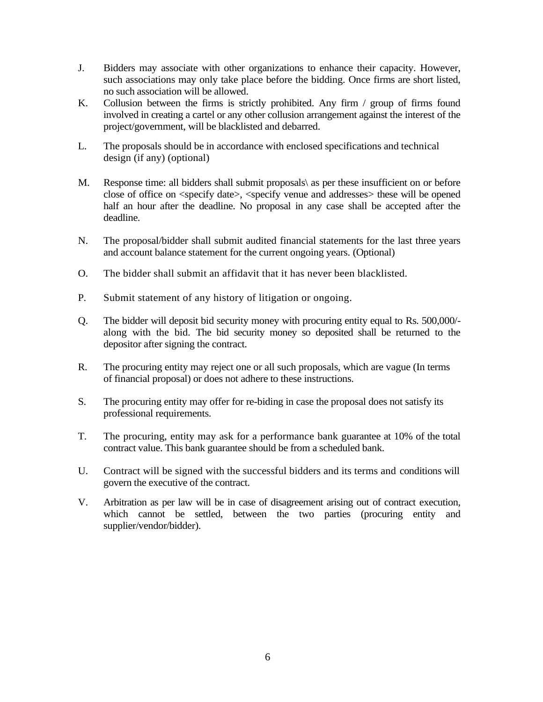- J. Bidders may associate with other organizations to enhance their capacity. However, such associations may only take place before the bidding. Once firms are short listed, no such association will be allowed.
- K. Collusion between the firms is strictly prohibited. Any firm / group of firms found involved in creating a cartel or any other collusion arrangement against the interest of the project/government, will be blacklisted and debarred.
- L. The proposals should be in accordance with enclosed specifications and technical design (if any) (optional)
- M. Response time: all bidders shall submit proposals\ as per these insufficient on or before close of office on <specify date>, <specify venue and addresses> these will be opened half an hour after the deadline. No proposal in any case shall be accepted after the deadline.
- N. The proposal/bidder shall submit audited financial statements for the last three years and account balance statement for the current ongoing years. (Optional)
- O. The bidder shall submit an affidavit that it has never been blacklisted.
- P. Submit statement of any history of litigation or ongoing.
- Q. The bidder will deposit bid security money with procuring entity equal to Rs. 500,000/ along with the bid. The bid security money so deposited shall be returned to the depositor after signing the contract.
- R. The procuring entity may reject one or all such proposals, which are vague (In terms of financial proposal) or does not adhere to these instructions.
- S. The procuring entity may offer for re-biding in case the proposal does not satisfy its professional requirements.
- T. The procuring, entity may ask for a performance bank guarantee at 10% of the total contract value. This bank guarantee should be from a scheduled bank.
- U. Contract will be signed with the successful bidders and its terms and conditions will govern the executive of the contract.
- V. Arbitration as per law will be in case of disagreement arising out of contract execution, which cannot be settled, between the two parties (procuring entity and supplier/vendor/bidder).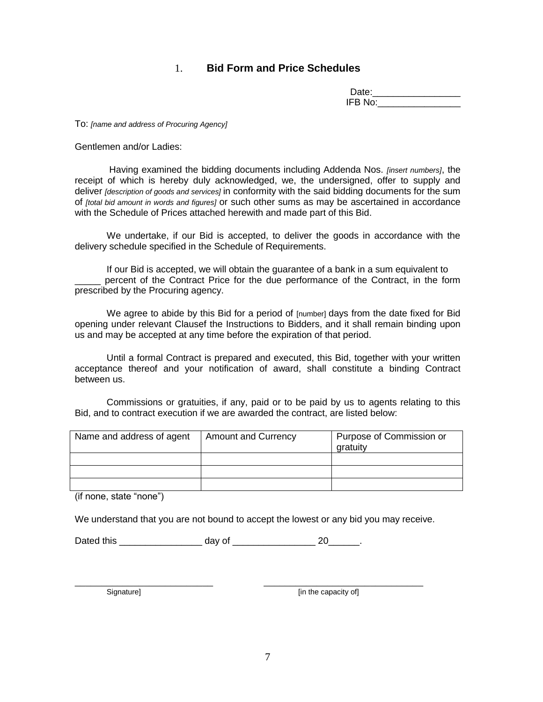# 1. **Bid Form and Price Schedules**

| Date:   |  |
|---------|--|
| IFB No: |  |

To: *[name and address of Procuring Agency]*

Gentlemen and/or Ladies:

 Having examined the bidding documents including Addenda Nos. *[insert numbers]*, the receipt of which is hereby duly acknowledged, we, the undersigned, offer to supply and deliver *[description of goods and services]* in conformity with the said bidding documents for the sum of *[total bid amount in words and figures]* or such other sums as may be ascertained in accordance with the Schedule of Prices attached herewith and made part of this Bid.

We undertake, if our Bid is accepted, to deliver the goods in accordance with the delivery schedule specified in the Schedule of Requirements.

If our Bid is accepted, we will obtain the guarantee of a bank in a sum equivalent to percent of the Contract Price for the due performance of the Contract, in the form prescribed by the Procuring agency.

We agree to abide by this Bid for a period of [number] days from the date fixed for Bid opening under relevant Clausef the Instructions to Bidders, and it shall remain binding upon us and may be accepted at any time before the expiration of that period.

Until a formal Contract is prepared and executed, this Bid, together with your written acceptance thereof and your notification of award, shall constitute a binding Contract between us.

Commissions or gratuities, if any, paid or to be paid by us to agents relating to this Bid, and to contract execution if we are awarded the contract, are listed below:

| Name and address of agent | <b>Amount and Currency</b> | Purpose of Commission or<br>gratuity |
|---------------------------|----------------------------|--------------------------------------|
|                           |                            |                                      |
|                           |                            |                                      |
|                           |                            |                                      |

(if none, state "none")

We understand that you are not bound to accept the lowest or any bid you may receive.

Dated this \_\_\_\_\_\_\_\_\_\_\_\_\_\_\_\_ day of \_\_\_\_\_\_\_\_\_\_\_\_\_\_\_\_ 20\_\_\_\_\_\_.

\_\_\_\_\_\_\_\_\_\_\_\_\_\_\_\_\_\_\_\_\_\_\_\_\_\_ \_\_\_\_\_\_\_\_\_\_\_\_\_\_\_\_\_\_\_\_\_\_\_\_\_\_\_\_\_\_

Signature] Signature **[in the capacity of]**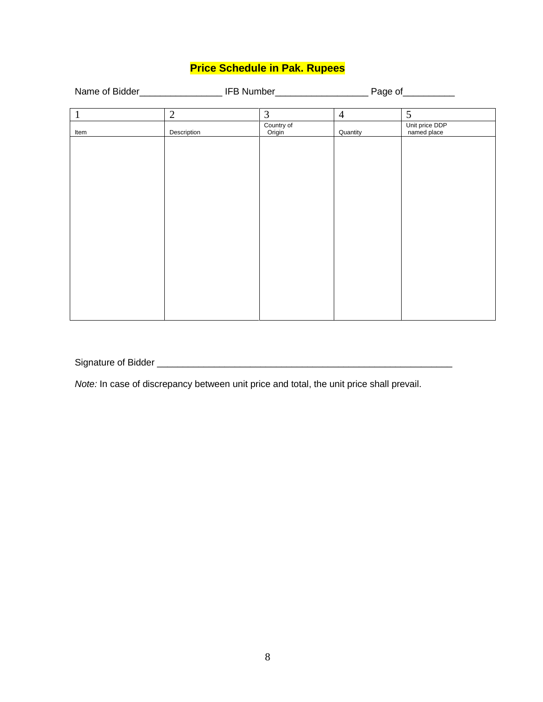# **Price Schedule in Pak. Rupees**

|              |                |                      |                | Page of                       |  |
|--------------|----------------|----------------------|----------------|-------------------------------|--|
| $\mathbf{1}$ | $\overline{2}$ | 3                    | $\overline{4}$ | 5                             |  |
| Item         | Description    | Country of<br>Origin | Quantity       | Unit price DDP<br>named place |  |
|              |                |                      |                |                               |  |
|              |                |                      |                |                               |  |
|              |                |                      |                |                               |  |
|              |                |                      |                |                               |  |
|              |                |                      |                |                               |  |
|              |                |                      |                |                               |  |
|              |                |                      |                |                               |  |
|              |                |                      |                |                               |  |
|              |                |                      |                |                               |  |
|              |                |                      |                |                               |  |

Signature of Bidder \_\_\_\_\_\_\_\_\_\_\_\_\_\_\_\_\_\_\_\_\_\_\_\_\_\_\_\_\_\_\_\_\_\_\_\_\_\_\_\_\_\_\_\_\_\_\_\_\_\_\_\_\_\_\_\_\_

*Note:* In case of discrepancy between unit price and total, the unit price shall prevail.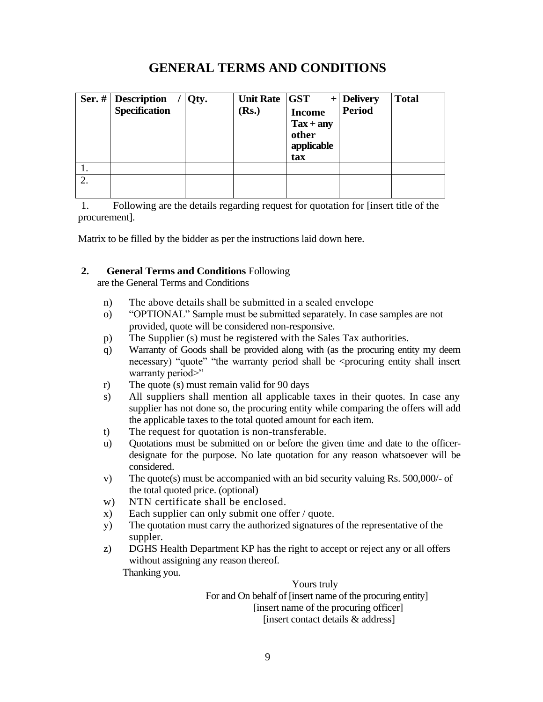# **GENERAL TERMS AND CONDITIONS**

|    | Ser. $#$ Description<br><b>Specification</b> | Qty. | Unit Rate GST<br>(Rs.) | <b>Income</b><br>$\text{Tax} + \text{any}$<br>other<br>applicable<br>tax | $+$ Delivery<br><b>Period</b> | <b>Total</b> |
|----|----------------------------------------------|------|------------------------|--------------------------------------------------------------------------|-------------------------------|--------------|
| ı. |                                              |      |                        |                                                                          |                               |              |
| 2. |                                              |      |                        |                                                                          |                               |              |
|    |                                              |      |                        |                                                                          |                               |              |

1. Following are the details regarding request for quotation for [insert title of the procurement].

Matrix to be filled by the bidder as per the instructions laid down here.

#### **2. General Terms and Conditions** Following

are the General Terms and Conditions

- n) The above details shall be submitted in a sealed envelope
- o) "OPTIONAL" Sample must be submitted separately. In case samples are not provided, quote will be considered non-responsive.
- p) The Supplier (s) must be registered with the Sales Tax authorities.
- q) Warranty of Goods shall be provided along with (as the procuring entity my deem necessary) "quote" "the warranty period shall be <procuring entity shall insert warranty period>"
- r) The quote (s) must remain valid for 90 days
- s) All suppliers shall mention all applicable taxes in their quotes. In case any supplier has not done so, the procuring entity while comparing the offers will add the applicable taxes to the total quoted amount for each item.
- t) The request for quotation is non-transferable.
- u) Quotations must be submitted on or before the given time and date to the officerdesignate for the purpose. No late quotation for any reason whatsoever will be considered.
- v) The quote(s) must be accompanied with an bid security valuing Rs. 500,000/- of the total quoted price. (optional)
- w) NTN certificate shall be enclosed.
- x) Each supplier can only submit one offer / quote.
- y) The quotation must carry the authorized signatures of the representative of the suppler.
- z) DGHS Health Department KP has the right to accept or reject any or all offers without assigning any reason thereof.

Thanking you.

Yours truly For and On behalf of [insert name of the procuring entity] [insert name of the procuring officer] [insert contact details & address]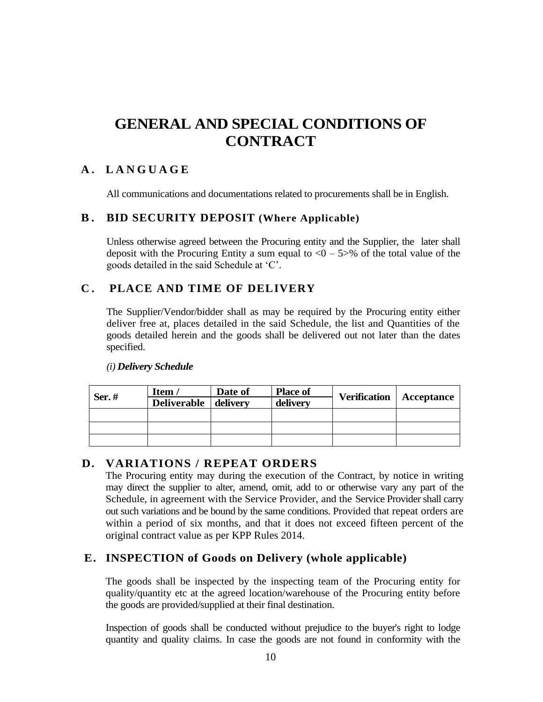# **GENERAL AND SPECIAL CONDITIONS OF CONTRACT**

# **A . LANGUAGE**

All communications and documentations related to procurements shall be in English.

# **B . BID SECURITY DEPOSIT (Where Applicable)**

Unless otherwise agreed between the Procuring entity and the Supplier, the later shall deposit with the Procuring Entity a sum equal to  $\langle 0 - 5 \rangle$ % of the total value of the goods detailed in the said Schedule at "C".

# **C . PLACE AND TIME OF DELIVERY**

The Supplier/Vendor/bidder shall as may be required by the Procuring entity either deliver free at, places detailed in the said Schedule, the list and Quantities of the goods detailed herein and the goods shall be delivered out not later than the dates specified.

| Ser. $#$ | Item /             | Date of  | <b>Place of</b> | <b>Verification</b> | Acceptance |  |
|----------|--------------------|----------|-----------------|---------------------|------------|--|
|          | <b>Deliverable</b> | delivery | delivery        |                     |            |  |
|          |                    |          |                 |                     |            |  |
|          |                    |          |                 |                     |            |  |
|          |                    |          |                 |                     |            |  |

#### *(i) Delivery Schedule*

# **D. VARIATIONS / REPEAT ORDERS**

The Procuring entity may during the execution of the Contract, by notice in writing may direct the supplier to alter, amend, omit, add to or otherwise vary any part of the Schedule, in agreement with the Service Provider, and the Service Provider shall carry out such variations and be bound by the same conditions. Provided that repeat orders are within a period of six months, and that it does not exceed fifteen percent of the original contract value as per KPP Rules 2014.

# **E. INSPECTION of Goods on Delivery (whole applicable)**

The goods shall be inspected by the inspecting team of the Procuring entity for quality/quantity etc at the agreed location/warehouse of the Procuring entity before the goods are provided/supplied at their final destination.

Inspection of goods shall be conducted without prejudice to the buyer's right to lodge quantity and quality claims. In case the goods are not found in conformity with the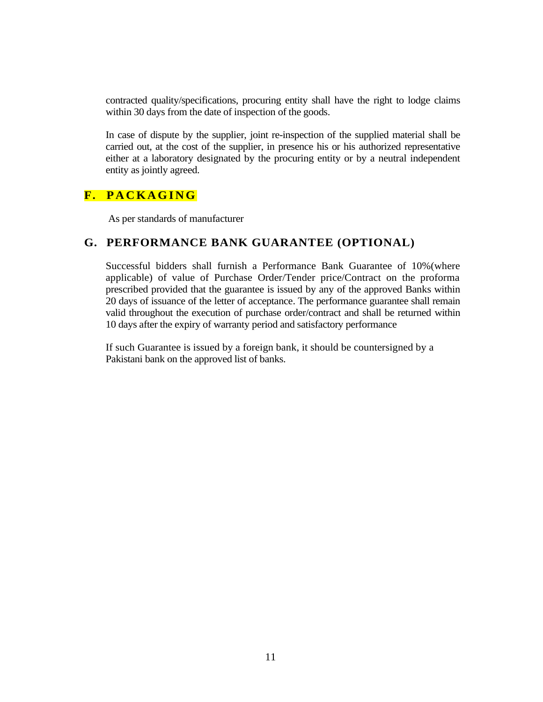contracted quality/specifications, procuring entity shall have the right to lodge claims within 30 days from the date of inspection of the goods.

In case of dispute by the supplier, joint re-inspection of the supplied material shall be carried out, at the cost of the supplier, in presence his or his authorized representative either at a laboratory designated by the procuring entity or by a neutral independent entity as jointly agreed.

# **F. P A C K A G I N G**

As per standards of manufacturer

# **G. PERFORMANCE BANK GUARANTEE (OPTIONAL)**

Successful bidders shall furnish a Performance Bank Guarantee of 10%(where applicable) of value of Purchase Order/Tender price/Contract on the proforma prescribed provided that the guarantee is issued by any of the approved Banks within 20 days of issuance of the letter of acceptance. The performance guarantee shall remain valid throughout the execution of purchase order/contract and shall be returned within 10 days after the expiry of warranty period and satisfactory performance

If such Guarantee is issued by a foreign bank, it should be countersigned by a Pakistani bank on the approved list of banks.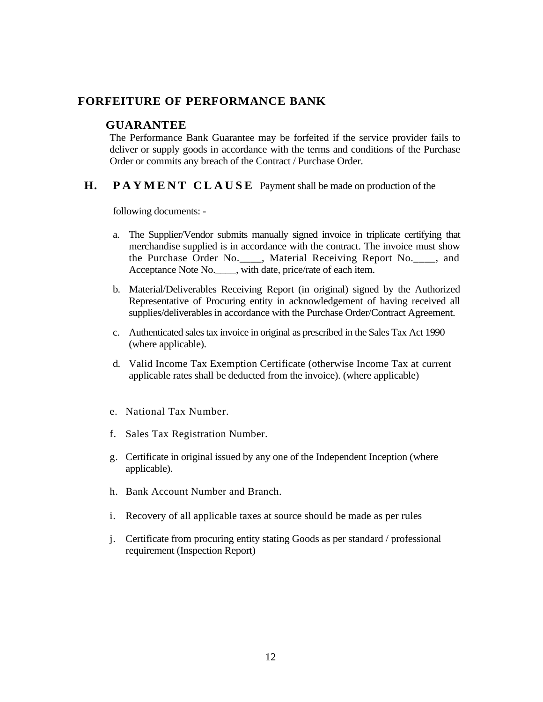# **FORFEITURE OF PERFORMANCE BANK**

#### **GUARANTEE**

The Performance Bank Guarantee may be forfeited if the service provider fails to deliver or supply goods in accordance with the terms and conditions of the Purchase Order or commits any breach of the Contract / Purchase Order.

#### **H. PAYMENT CLAUSE** Payment shall be made on production of the

following documents: -

- a. The Supplier/Vendor submits manually signed invoice in triplicate certifying that merchandise supplied is in accordance with the contract. The invoice must show the Purchase Order No.\_\_\_\_, Material Receiving Report No.\_\_\_\_, and Acceptance Note No.\_\_\_\_, with date, price/rate of each item.
- b. Material/Deliverables Receiving Report (in original) signed by the Authorized Representative of Procuring entity in acknowledgement of having received all supplies/deliverables in accordance with the Purchase Order/Contract Agreement.
- c. Authenticated sales tax invoice in original as prescribed in the Sales Tax Act 1990 (where applicable).
- d. Valid Income Tax Exemption Certificate (otherwise Income Tax at current applicable rates shall be deducted from the invoice). (where applicable)
- e. National Tax Number.
- f. Sales Tax Registration Number.
- g. Certificate in original issued by any one of the Independent Inception (where applicable).
- h. Bank Account Number and Branch.
- i. Recovery of all applicable taxes at source should be made as per rules
- j. Certificate from procuring entity stating Goods as per standard / professional requirement (Inspection Report)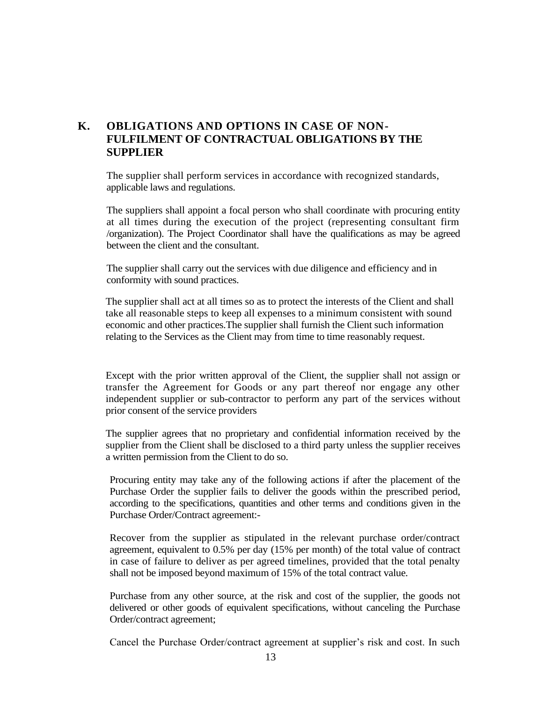# **K. OBLIGATIONS AND OPTIONS IN CASE OF NON-FULFILMENT OF CONTRACTUAL OBLIGATIONS BY THE SUPPLIER**

The supplier shall perform services in accordance with recognized standards, applicable laws and regulations.

The suppliers shall appoint a focal person who shall coordinate with procuring entity at all times during the execution of the project (representing consultant firm /organization). The Project Coordinator shall have the qualifications as may be agreed between the client and the consultant.

The supplier shall carry out the services with due diligence and efficiency and in conformity with sound practices.

The supplier shall act at all times so as to protect the interests of the Client and shall take all reasonable steps to keep all expenses to a minimum consistent with sound economic and other practices.The supplier shall furnish the Client such information relating to the Services as the Client may from time to time reasonably request.

Except with the prior written approval of the Client, the supplier shall not assign or transfer the Agreement for Goods or any part thereof nor engage any other independent supplier or sub-contractor to perform any part of the services without prior consent of the service providers

The supplier agrees that no proprietary and confidential information received by the supplier from the Client shall be disclosed to a third party unless the supplier receives a written permission from the Client to do so.

Procuring entity may take any of the following actions if after the placement of the Purchase Order the supplier fails to deliver the goods within the prescribed period, according to the specifications, quantities and other terms and conditions given in the Purchase Order/Contract agreement:-

Recover from the supplier as stipulated in the relevant purchase order/contract agreement, equivalent to 0.5% per day (15% per month) of the total value of contract in case of failure to deliver as per agreed timelines, provided that the total penalty shall not be imposed beyond maximum of 15% of the total contract value.

Purchase from any other source, at the risk and cost of the supplier, the goods not delivered or other goods of equivalent specifications, without canceling the Purchase Order/contract agreement;

Cancel the Purchase Order/contract agreement at supplier's risk and cost. In such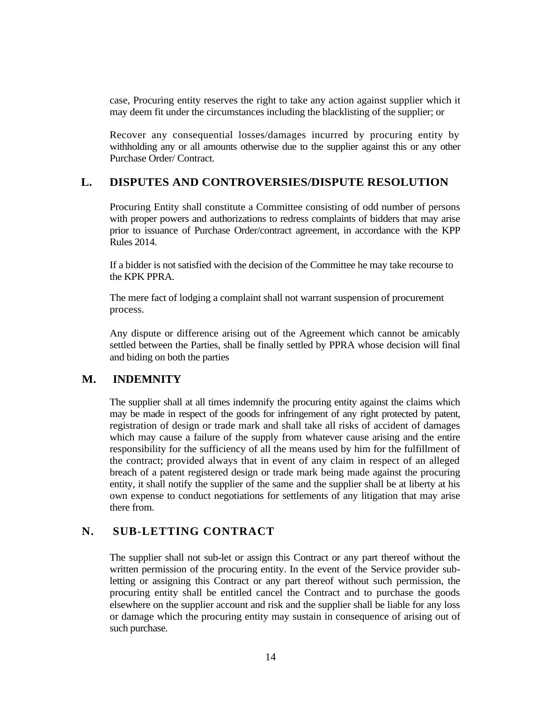case, Procuring entity reserves the right to take any action against supplier which it may deem fit under the circumstances including the blacklisting of the supplier; or

Recover any consequential losses/damages incurred by procuring entity by withholding any or all amounts otherwise due to the supplier against this or any other Purchase Order/ Contract.

# **L. DISPUTES AND CONTROVERSIES/DISPUTE RESOLUTION**

Procuring Entity shall constitute a Committee consisting of odd number of persons with proper powers and authorizations to redress complaints of bidders that may arise prior to issuance of Purchase Order/contract agreement, in accordance with the KPP Rules 2014.

If a bidder is not satisfied with the decision of the Committee he may take recourse to the KPK PPRA.

The mere fact of lodging a complaint shall not warrant suspension of procurement process.

Any dispute or difference arising out of the Agreement which cannot be amicably settled between the Parties, shall be finally settled by PPRA whose decision will final and biding on both the parties

#### **M. INDEMNITY**

The supplier shall at all times indemnify the procuring entity against the claims which may be made in respect of the goods for infringement of any right protected by patent, registration of design or trade mark and shall take all risks of accident of damages which may cause a failure of the supply from whatever cause arising and the entire responsibility for the sufficiency of all the means used by him for the fulfillment of the contract; provided always that in event of any claim in respect of an alleged breach of a patent registered design or trade mark being made against the procuring entity, it shall notify the supplier of the same and the supplier shall be at liberty at his own expense to conduct negotiations for settlements of any litigation that may arise there from.

#### **N. SUB-LETTING CONTRACT**

The supplier shall not sub-let or assign this Contract or any part thereof without the written permission of the procuring entity. In the event of the Service provider subletting or assigning this Contract or any part thereof without such permission, the procuring entity shall be entitled cancel the Contract and to purchase the goods elsewhere on the supplier account and risk and the supplier shall be liable for any loss or damage which the procuring entity may sustain in consequence of arising out of such purchase.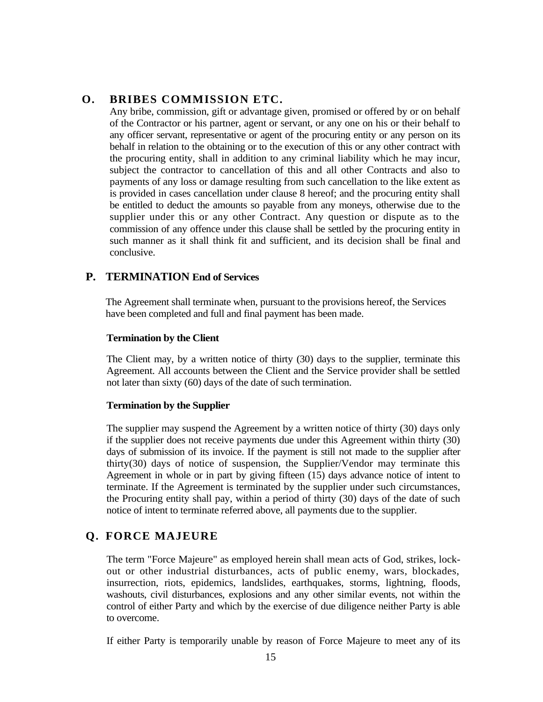# **O. BRIBES COMMISSION ETC.**

Any bribe, commission, gift or advantage given, promised or offered by or on behalf of the Contractor or his partner, agent or servant, or any one on his or their behalf to any officer servant, representative or agent of the procuring entity or any person on its behalf in relation to the obtaining or to the execution of this or any other contract with the procuring entity, shall in addition to any criminal liability which he may incur, subject the contractor to cancellation of this and all other Contracts and also to payments of any loss or damage resulting from such cancellation to the like extent as is provided in cases cancellation under clause 8 hereof; and the procuring entity shall be entitled to deduct the amounts so payable from any moneys, otherwise due to the supplier under this or any other Contract. Any question or dispute as to the commission of any offence under this clause shall be settled by the procuring entity in such manner as it shall think fit and sufficient, and its decision shall be final and conclusive.

# **P. TERMINATION End of Services**

The Agreement shall terminate when, pursuant to the provisions hereof, the Services have been completed and full and final payment has been made.

### **Termination by the Client**

The Client may, by a written notice of thirty (30) days to the supplier, terminate this Agreement. All accounts between the Client and the Service provider shall be settled not later than sixty (60) days of the date of such termination.

# **Termination by the Supplier**

The supplier may suspend the Agreement by a written notice of thirty (30) days only if the supplier does not receive payments due under this Agreement within thirty (30) days of submission of its invoice. If the payment is still not made to the supplier after thirty(30) days of notice of suspension, the Supplier/Vendor may terminate this Agreement in whole or in part by giving fifteen (15) days advance notice of intent to terminate. If the Agreement is terminated by the supplier under such circumstances, the Procuring entity shall pay, within a period of thirty (30) days of the date of such notice of intent to terminate referred above, all payments due to the supplier.

# **Q. FORCE MAJEURE**

The term "Force Majeure" as employed herein shall mean acts of God, strikes, lockout or other industrial disturbances, acts of public enemy, wars, blockades, insurrection, riots, epidemics, landslides, earthquakes, storms, lightning, floods, washouts, civil disturbances, explosions and any other similar events, not within the control of either Party and which by the exercise of due diligence neither Party is able to overcome.

If either Party is temporarily unable by reason of Force Majeure to meet any of its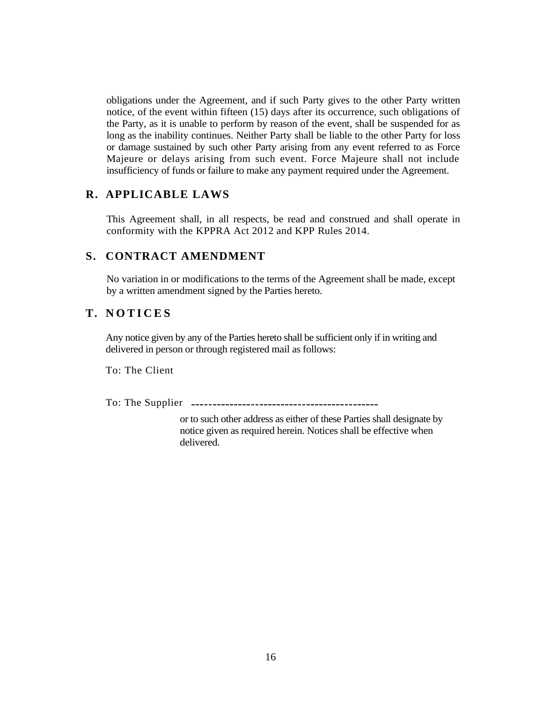obligations under the Agreement, and if such Party gives to the other Party written notice, of the event within fifteen (15) days after its occurrence, such obligations of the Party, as it is unable to perform by reason of the event, shall be suspended for as long as the inability continues. Neither Party shall be liable to the other Party for loss or damage sustained by such other Party arising from any event referred to as Force Majeure or delays arising from such event. Force Majeure shall not include insufficiency of funds or failure to make any payment required under the Agreement.

### **R. APPLICABLE LAWS**

This Agreement shall, in all respects, be read and construed and shall operate in conformity with the KPPRA Act 2012 and KPP Rules 2014.

#### **S. CONTRACT AMENDMENT**

No variation in or modifications to the terms of the Agreement shall be made, except by a written amendment signed by the Parties hereto.

# **T. N O T I C E S**

Any notice given by any of the Parties hereto shall be sufficient only if in writing and delivered in person or through registered mail as follows:

To: The Client

To: The Supplier

or to such other address as either of these Parties shall designate by notice given as required herein. Notices shall be effective when delivered.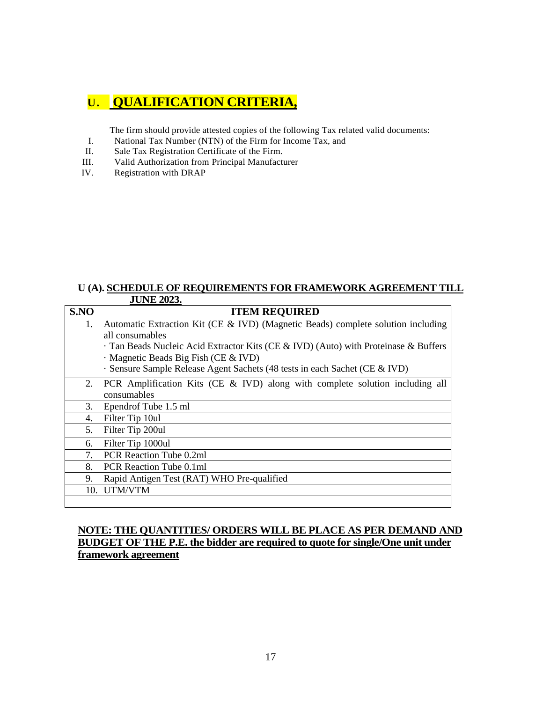# **U. QUALIFICATION CRITERIA,**

The firm should provide attested copies of the following Tax related valid documents:

- I. National Tax Number (NTN) of the Firm for Income Tax, and II. Sale Tax Registration Certificate of the Firm.
- Sale Tax Registration Certificate of the Firm.
- III. Valid Authorization from Principal Manufacturer
- IV. Registration with DRAP

#### **U (A). SCHEDULE OF REQUIREMENTS FOR FRAMEWORK AGREEMENT TILL JUNE 2023.**

| S.NO | <b>ITEM REQUIRED</b>                                                              |
|------|-----------------------------------------------------------------------------------|
| 1.   | Automatic Extraction Kit (CE & IVD) (Magnetic Beads) complete solution including  |
|      | all consumables                                                                   |
|      | Tan Beads Nucleic Acid Extractor Kits (CE & IVD) (Auto) with Proteinase & Buffers |
|      | Magnetic Beads Big Fish (CE & IVD)                                                |
|      | · Sensure Sample Release Agent Sachets (48 tests in each Sachet (CE & IVD)        |
| 2.   | PCR Amplification Kits (CE & IVD) along with complete solution including all      |
|      | consumables                                                                       |
| 3.   | Ependrof Tube 1.5 ml                                                              |
| 4.   | Filter Tip 10ul                                                                   |
| 5.   | Filter Tip 200ul                                                                  |
| 6.   | Filter Tip 1000ul                                                                 |
| 7.   | PCR Reaction Tube 0.2ml                                                           |
| 8.   | PCR Reaction Tube 0.1ml                                                           |
| 9.   | Rapid Antigen Test (RAT) WHO Pre-qualified                                        |
| 10.  | UTM/VTM                                                                           |
|      |                                                                                   |

### **NOTE: THE QUANTITIES/ ORDERS WILL BE PLACE AS PER DEMAND AND BUDGET OF THE P.E. the bidder are required to quote for single/One unit under framework agreement**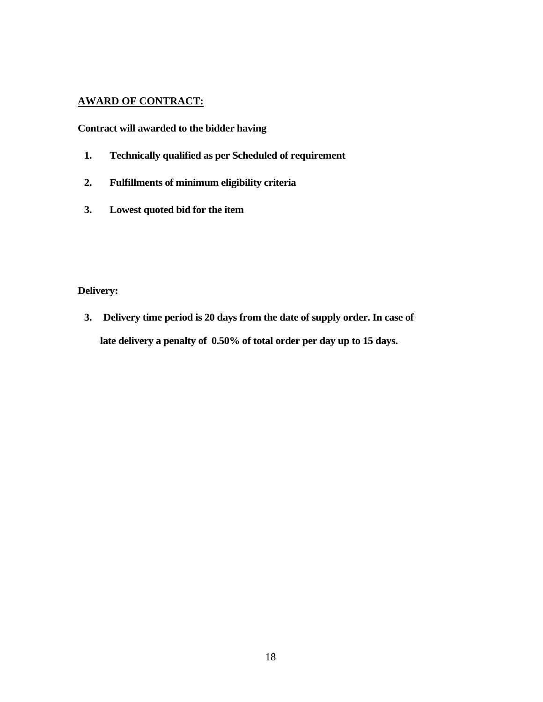### **AWARD OF CONTRACT:**

**Contract will awarded to the bidder having**

- **1. Technically qualified as per Scheduled of requirement**
- **2. Fulfillments of minimum eligibility criteria**
- **3. Lowest quoted bid for the item**

**Delivery:** 

**3. Delivery time period is 20 days from the date of supply order. In case of late delivery a penalty of 0.50% of total order per day up to 15 days.**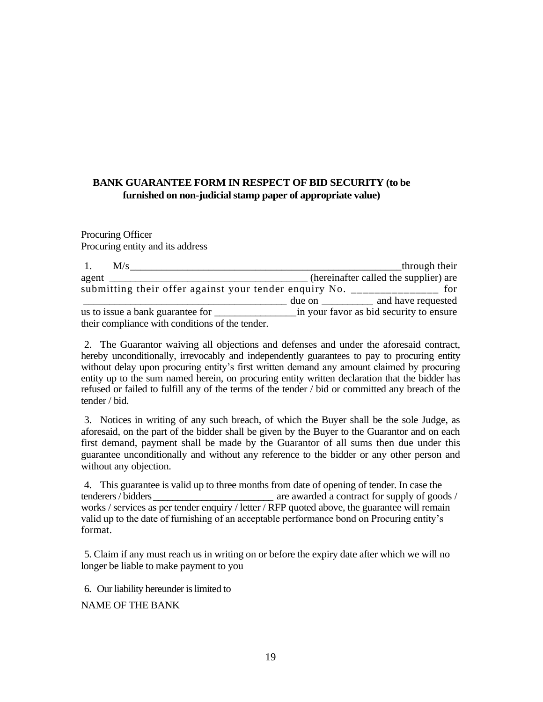# **BANK GUARANTEE FORM IN RESPECT OF BID SECURITY (to be furnished on non-judicial stamp paper of appropriate value)**

Procuring Officer Procuring entity and its address

| $\overline{1}$ . | M/s |                                                                                   |                                    | through their                           |
|------------------|-----|-----------------------------------------------------------------------------------|------------------------------------|-----------------------------------------|
| agent            |     |                                                                                   |                                    | (hereinafter called the supplier) are   |
|                  |     | submitting their offer against your tender enquiry No. __________________________ |                                    | for                                     |
|                  |     |                                                                                   | due on $\_\_\_\_\_\_\_\_\_\_\_\_\$ | and have requested                      |
|                  |     | us to issue a bank guarantee for                                                  |                                    | in your favor as bid security to ensure |
|                  |     | their compliance with conditions of the tender.                                   |                                    |                                         |

2. The Guarantor waiving all objections and defenses and under the aforesaid contract, hereby unconditionally, irrevocably and independently guarantees to pay to procuring entity without delay upon procuring entity's first written demand any amount claimed by procuring entity up to the sum named herein, on procuring entity written declaration that the bidder has refused or failed to fulfill any of the terms of the tender / bid or committed any breach of the tender / bid.

3. Notices in writing of any such breach, of which the Buyer shall be the sole Judge, as aforesaid, on the part of the bidder shall be given by the Buyer to the Guarantor and on each first demand, payment shall be made by the Guarantor of all sums then due under this guarantee unconditionally and without any reference to the bidder or any other person and without any objection.

4. This guarantee is valid up to three months from date of opening of tender. In case the tenderers / bidders  $\alpha$  are awarded a contract for supply of goods / works / services as per tender enquiry / letter / RFP quoted above, the guarantee will remain valid up to the date of furnishing of an acceptable performance bond on Procuring entity"s format.

5. Claim if any must reach us in writing on or before the expiry date after which we will no longer be liable to make payment to you

6. Our liability hereunder is limited to

NAME OF THE BANK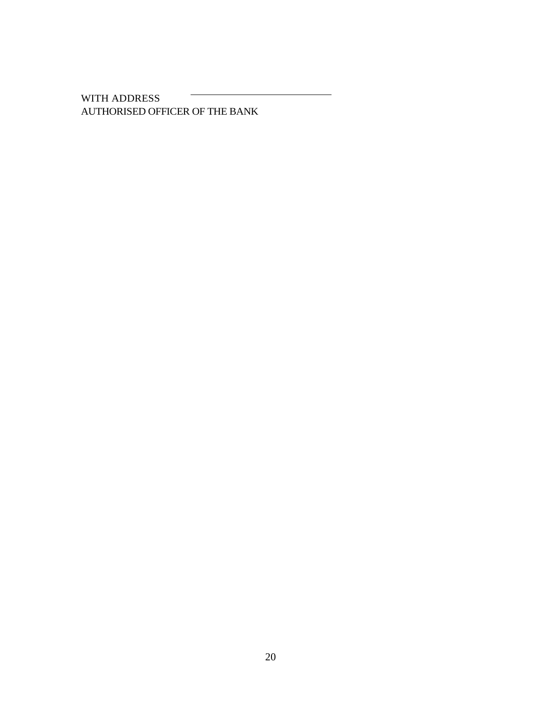WITH ADDRESS AUTHORISED OFFICER OF THE BANK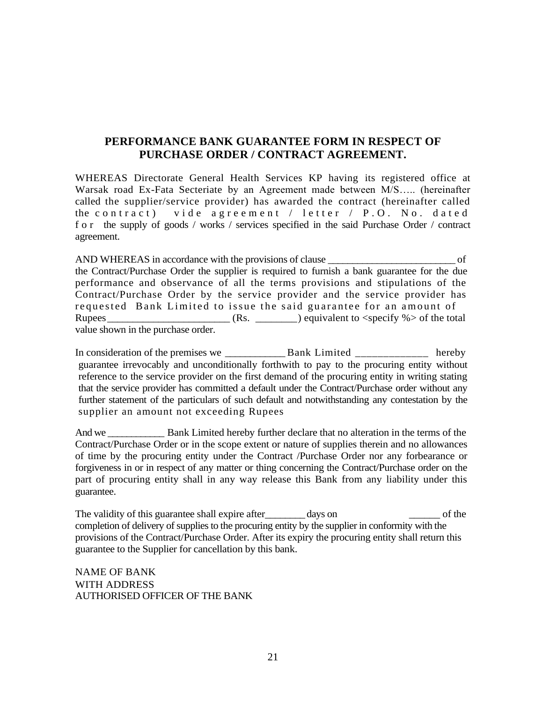# **PERFORMANCE BANK GUARANTEE FORM IN RESPECT OF PURCHASE ORDER / CONTRACT AGREEMENT.**

WHEREAS Directorate General Health Services KP having its registered office at Warsak road Ex-Fata Secteriate by an Agreement made between M/S….. (hereinafter called the supplier/service provider) has awarded the contract (hereinafter called the contract) vide agreement / letter / P.O. No. dated f o r the supply of goods / works / services specified in the said Purchase Order / contract agreement.

AND WHEREAS in accordance with the provisions of clause  $\overline{a}$  of the Contract/Purchase Order the supplier is required to furnish a bank guarantee for the due performance and observance of all the terms provisions and stipulations of the Contract/Purchase Order by the service provider and the service provider has requested Bank Limited to issue the said guarantee for an amount of Rupees\_\_\_\_\_\_\_\_\_\_\_\_\_\_\_\_\_\_\_\_\_\_\_\_ (Rs. \_\_\_\_\_\_\_\_) equivalent to <specify %> of the total value shown in the purchase order.

In consideration of the premises we **Bank Limited Example 2** hereby guarantee irrevocably and unconditionally forthwith to pay to the procuring entity without reference to the service provider on the first demand of the procuring entity in writing stating that the service provider has committed a default under the Contract/Purchase order without any further statement of the particulars of such default and notwithstanding any contestation by the supplier an amount not exceeding Rupees

And we Bank Limited hereby further declare that no alteration in the terms of the Contract/Purchase Order or in the scope extent or nature of supplies therein and no allowances of time by the procuring entity under the Contract /Purchase Order nor any forbearance or forgiveness in or in respect of any matter or thing concerning the Contract/Purchase order on the part of procuring entity shall in any way release this Bank from any liability under this guarantee.

The validity of this guarantee shall expire after \_\_\_\_\_\_\_\_ days on \_\_\_\_\_\_\_ of the completion of delivery of supplies to the procuring entity by the supplier in conformity with the provisions of the Contract/Purchase Order. After its expiry the procuring entity shall return this guarantee to the Supplier for cancellation by this bank.

NAME OF BANK WITH ADDRESS AUTHORISED OFFICER OF THE BANK